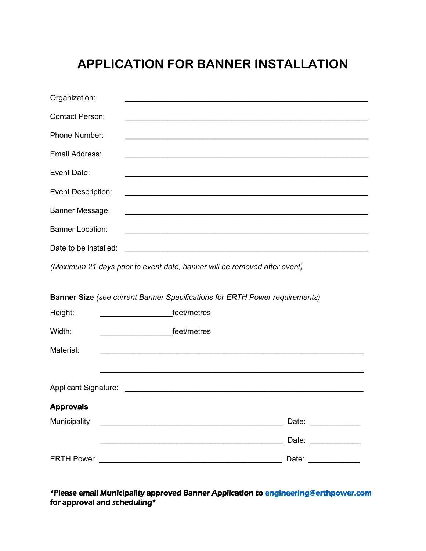## **APPLICATION FOR BANNER INSTALLATION**

| Organization:               |                                                                                                                        |
|-----------------------------|------------------------------------------------------------------------------------------------------------------------|
| <b>Contact Person:</b>      |                                                                                                                        |
| Phone Number:               | <u> 1989 - Johann John Stone, Amerikaansk politiker (d. 1989)</u>                                                      |
| Email Address:              |                                                                                                                        |
| Event Date:                 | <u> 1989 - Johann John Stone, markin amerikan berkenal (h. 1989).</u>                                                  |
| <b>Event Description:</b>   |                                                                                                                        |
| Banner Message:             | <u> 1989 - Jan James James James James James James James James James James James James James James James James J</u>   |
| <b>Banner Location:</b>     |                                                                                                                        |
| Date to be installed:       | <u> 1989 - Johann Stoff, deutscher Stoffen und der Stoffen und der Stoffen und der Stoffen und der Stoffen und der</u> |
|                             | (Maximum 21 days prior to event date, banner will be removed after event)                                              |
|                             |                                                                                                                        |
|                             | <b>Banner Size</b> (see current Banner Specifications for ERTH Power requirements)                                     |
| Height:                     | feet/metres                                                                                                            |
| Width:                      | feet/metres                                                                                                            |
| Material:                   |                                                                                                                        |
|                             |                                                                                                                        |
| <b>Applicant Signature:</b> | <u> 2008 - Jan Samuel Barbara, margaret eta biztanleria (h. 1878).</u>                                                 |
| <b>Approvals</b>            |                                                                                                                        |
| Municipality                |                                                                                                                        |
|                             | Date: ______________                                                                                                   |

\*Please email Municipality approved Banner Application to [engineering@erthpower.com](mailto:engineering@erthpower.com)  for approval and scheduling\*